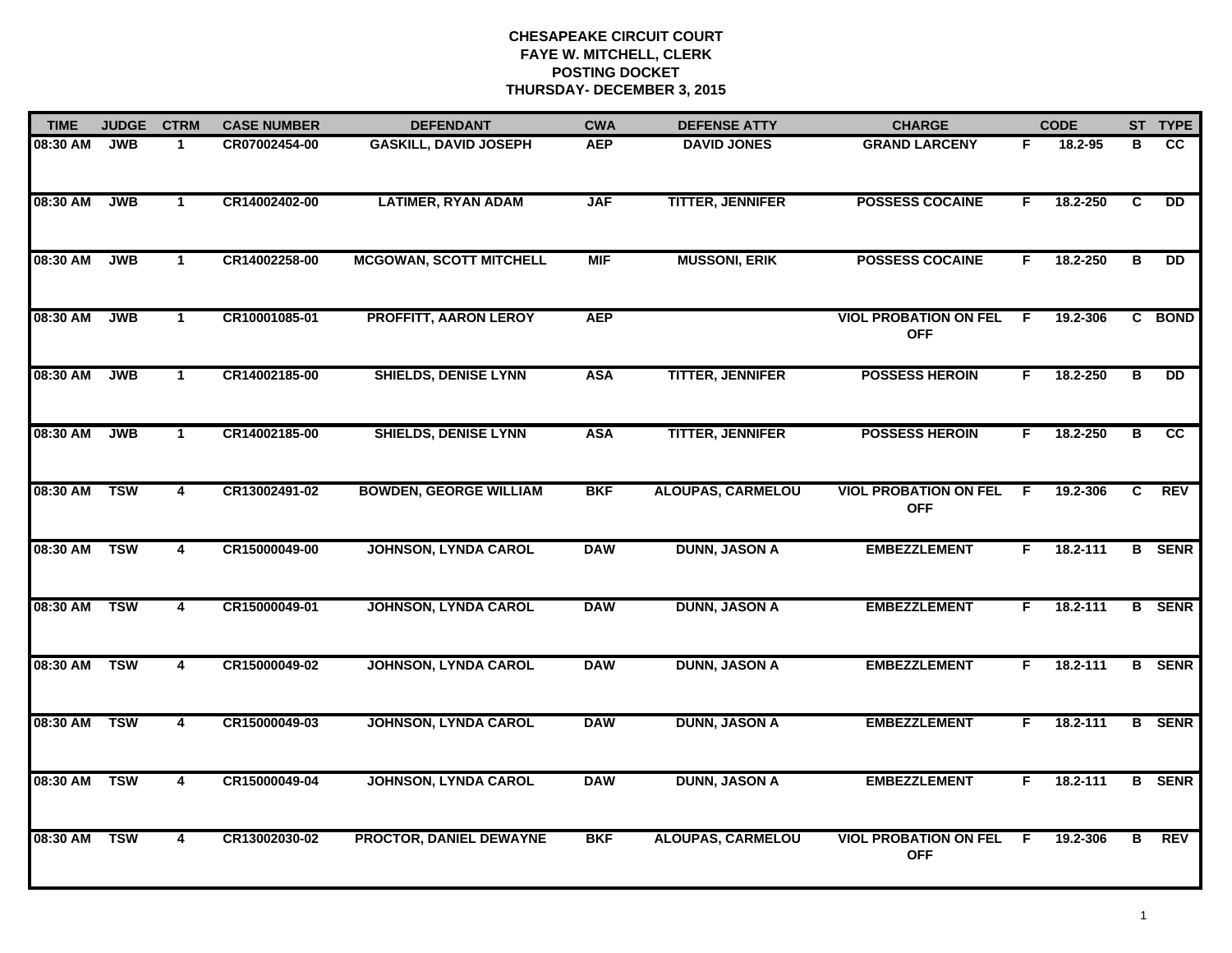| <b>TIME</b> | <b>JUDGE</b> | <b>CTRM</b>             | <b>CASE NUMBER</b> | <b>DEFENDANT</b>               | <b>CWA</b> | <b>DEFENSE ATTY</b>      | <b>CHARGE</b>                              |    | <b>CODE</b> |   | ST TYPE       |
|-------------|--------------|-------------------------|--------------------|--------------------------------|------------|--------------------------|--------------------------------------------|----|-------------|---|---------------|
| 08:30 AM    | <b>JWB</b>   | $\ddot{1}$              | CR07002454-00      | <b>GASKILL, DAVID JOSEPH</b>   | <b>AEP</b> | <b>DAVID JONES</b>       | <b>GRAND LARCENY</b>                       | F. | 18.2-95     | в | cc            |
| 08:30 AM    | <b>JWB</b>   | $\mathbf{1}$            | CR14002402-00      | <b>LATIMER, RYAN ADAM</b>      | <b>JAF</b> | <b>TITTER, JENNIFER</b>  | <b>POSSESS COCAINE</b>                     | E  | 18.2-250    | C | <b>DD</b>     |
| 08:30 AM    | <b>JWB</b>   | $\mathbf{1}$            | CR14002258-00      | <b>MCGOWAN, SCOTT MITCHELL</b> | <b>MIF</b> | <b>MUSSONI, ERIK</b>     | <b>POSSESS COCAINE</b>                     | F  | 18.2-250    | В | <b>DD</b>     |
| 08:30 AM    | <b>JWB</b>   | 1                       | CR10001085-01      | PROFFITT, AARON LEROY          | <b>AEP</b> |                          | <b>VIOL PROBATION ON FEL</b><br><b>OFF</b> | -F | 19.2-306    |   | C BOND        |
| 08:30 AM    | <b>JWB</b>   | $\mathbf 1$             | CR14002185-00      | <b>SHIELDS, DENISE LYNN</b>    | <b>ASA</b> | <b>TITTER, JENNIFER</b>  | <b>POSSESS HEROIN</b>                      | F  | 18.2-250    | В | <b>DD</b>     |
| 08:30 AM    | <b>JWB</b>   | $\mathbf{1}$            | CR14002185-00      | <b>SHIELDS, DENISE LYNN</b>    | <b>ASA</b> | <b>TITTER, JENNIFER</b>  | <b>POSSESS HEROIN</b>                      | F. | 18.2-250    | В | cc            |
| 08:30 AM    | <b>TSW</b>   | $\overline{4}$          | CR13002491-02      | <b>BOWDEN, GEORGE WILLIAM</b>  | <b>BKF</b> | <b>ALOUPAS, CARMELOU</b> | <b>VIOL PROBATION ON FEL</b><br><b>OFF</b> | F. | 19.2-306    | C | <b>REV</b>    |
| 08:30 AM    | <b>TSW</b>   | 4                       | CR15000049-00      | <b>JOHNSON, LYNDA CAROL</b>    | <b>DAW</b> | <b>DUNN, JASON A</b>     | <b>EMBEZZLEMENT</b>                        | F  | 18.2-111    |   | <b>B</b> SENR |
| 08:30 AM    | <b>TSW</b>   | 4                       | CR15000049-01      | <b>JOHNSON, LYNDA CAROL</b>    | <b>DAW</b> | <b>DUNN, JASON A</b>     | <b>EMBEZZLEMENT</b>                        | F  | 18.2-111    |   | <b>B</b> SENR |
| 08:30 AM    | <b>TSW</b>   | $\overline{4}$          | CR15000049-02      | <b>JOHNSON, LYNDA CAROL</b>    | <b>DAW</b> | <b>DUNN, JASON A</b>     | <b>EMBEZZLEMENT</b>                        | F  | 18.2-111    |   | <b>B</b> SENR |
| 08:30 AM    | <b>TSW</b>   | $\overline{\mathbf{4}}$ | CR15000049-03      | <b>JOHNSON, LYNDA CAROL</b>    | <b>DAW</b> | <b>DUNN, JASON A</b>     | <b>EMBEZZLEMENT</b>                        | F. | 18.2-111    |   | <b>B</b> SENR |
| 08:30 AM    | <b>TSW</b>   | $\overline{4}$          | CR15000049-04      | <b>JOHNSON, LYNDA CAROL</b>    | <b>DAW</b> | <b>DUNN, JASON A</b>     | <b>EMBEZZLEMENT</b>                        | F. | 18.2-111    | B | <b>SENR</b>   |
| 08:30 AM    | <b>TSW</b>   | 4                       | CR13002030-02      | PROCTOR, DANIEL DEWAYNE        | <b>BKF</b> | <b>ALOUPAS, CARMELOU</b> | <b>VIOL PROBATION ON FEL</b><br><b>OFF</b> | -F | 19.2-306    | в | <b>REV</b>    |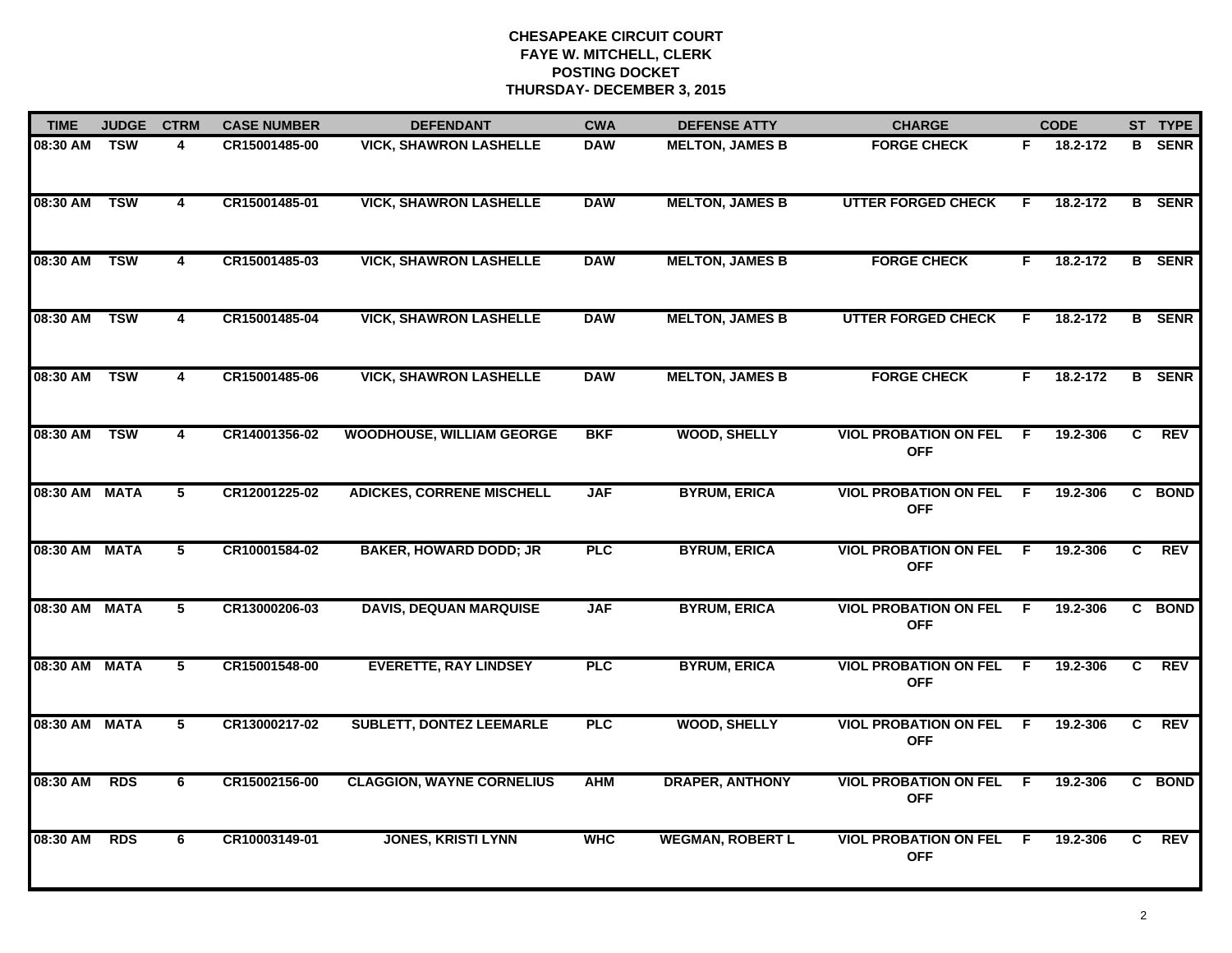| <b>TIME</b>   | <b>JUDGE</b> | <b>CTRM</b>             | <b>CASE NUMBER</b> | <b>DEFENDANT</b>                 | <b>CWA</b> | <b>DEFENSE ATTY</b>     | <b>CHARGE</b>                                |     | <b>CODE</b> |    | ST TYPE       |
|---------------|--------------|-------------------------|--------------------|----------------------------------|------------|-------------------------|----------------------------------------------|-----|-------------|----|---------------|
| 08:30 AM TSW  |              | 4                       | CR15001485-00      | <b>VICK, SHAWRON LASHELLE</b>    | <b>DAW</b> | <b>MELTON, JAMES B</b>  | <b>FORGE CHECK</b>                           | F.  | 18.2-172    |    | <b>B</b> SENR |
| 08:30 AM      | <b>TSW</b>   | $\overline{\mathbf{4}}$ | CR15001485-01      | <b>VICK, SHAWRON LASHELLE</b>    | <b>DAW</b> | <b>MELTON, JAMES B</b>  | <b>UTTER FORGED CHECK</b>                    | F.  | 18.2-172    |    | <b>B</b> SENR |
| 08:30 AM      | <b>TSW</b>   | 4                       | CR15001485-03      | <b>VICK, SHAWRON LASHELLE</b>    | <b>DAW</b> | <b>MELTON, JAMES B</b>  | <b>FORGE CHECK</b>                           | F   | 18.2-172    |    | <b>B</b> SENR |
| 08:30 AM      | <b>TSW</b>   | 4                       | CR15001485-04      | <b>VICK, SHAWRON LASHELLE</b>    | <b>DAW</b> | <b>MELTON, JAMES B</b>  | <b>UTTER FORGED CHECK</b>                    | E   | 18.2-172    |    | <b>B</b> SENR |
| 08:30 AM      | <b>TSW</b>   | 4                       | CR15001485-06      | <b>VICK, SHAWRON LASHELLE</b>    | <b>DAW</b> | <b>MELTON, JAMES B</b>  | <b>FORGE CHECK</b>                           | F.  | 18.2-172    |    | <b>B</b> SENR |
| 08:30 AM TSW  |              | 4                       | CR14001356-02      | <b>WOODHOUSE, WILLIAM GEORGE</b> | <b>BKF</b> | <b>WOOD, SHELLY</b>     | <b>VIOL PROBATION ON FEL F</b><br><b>OFF</b> |     | 19.2-306    | C. | <b>REV</b>    |
| 08:30 AM MATA |              | $5\phantom{.0}$         | CR12001225-02      | <b>ADICKES, CORRENE MISCHELL</b> | <b>JAF</b> | <b>BYRUM, ERICA</b>     | <b>VIOL PROBATION ON FEL F</b><br><b>OFF</b> |     | 19.2-306    | C  | <b>BOND</b>   |
| 08:30 AM MATA |              | 5                       | CR10001584-02      | <b>BAKER, HOWARD DODD; JR</b>    | <b>PLC</b> | <b>BYRUM, ERICA</b>     | <b>VIOL PROBATION ON FEL</b><br><b>OFF</b>   | - F | 19.2-306    | C. | <b>REV</b>    |
| 08:30 AM MATA |              | 5                       | CR13000206-03      | <b>DAVIS, DEQUAN MARQUISE</b>    | <b>JAF</b> | <b>BYRUM, ERICA</b>     | <b>VIOL PROBATION ON FEL</b><br><b>OFF</b>   | -F  | 19.2-306    |    | C BOND        |
| 08:30 AM MATA |              | 5                       | CR15001548-00      | <b>EVERETTE, RAY LINDSEY</b>     | <b>PLC</b> | <b>BYRUM, ERICA</b>     | <b>VIOL PROBATION ON FEL</b><br><b>OFF</b>   | E   | 19.2-306    | C  | <b>REV</b>    |
| 08:30 AM MATA |              | 5                       | CR13000217-02      | <b>SUBLETT, DONTEZ LEEMARLE</b>  | <b>PLC</b> | <b>WOOD, SHELLY</b>     | <b>VIOL PROBATION ON FEL F</b><br><b>OFF</b> |     | 19.2-306    | C. | <b>REV</b>    |
| 08:30 AM      | <b>RDS</b>   | 6                       | CR15002156-00      | <b>CLAGGION, WAYNE CORNELIUS</b> | <b>AHM</b> | <b>DRAPER, ANTHONY</b>  | <b>VIOL PROBATION ON FEL</b><br><b>OFF</b>   | F.  | 19.2-306    | C. | <b>BOND</b>   |
| 08:30 AM      | <b>RDS</b>   | 6                       | CR10003149-01      | <b>JONES, KRISTI LYNN</b>        | <b>WHC</b> | <b>WEGMAN, ROBERT L</b> | <b>VIOL PROBATION ON FEL</b><br><b>OFF</b>   | - F | 19.2-306    | C. | <b>REV</b>    |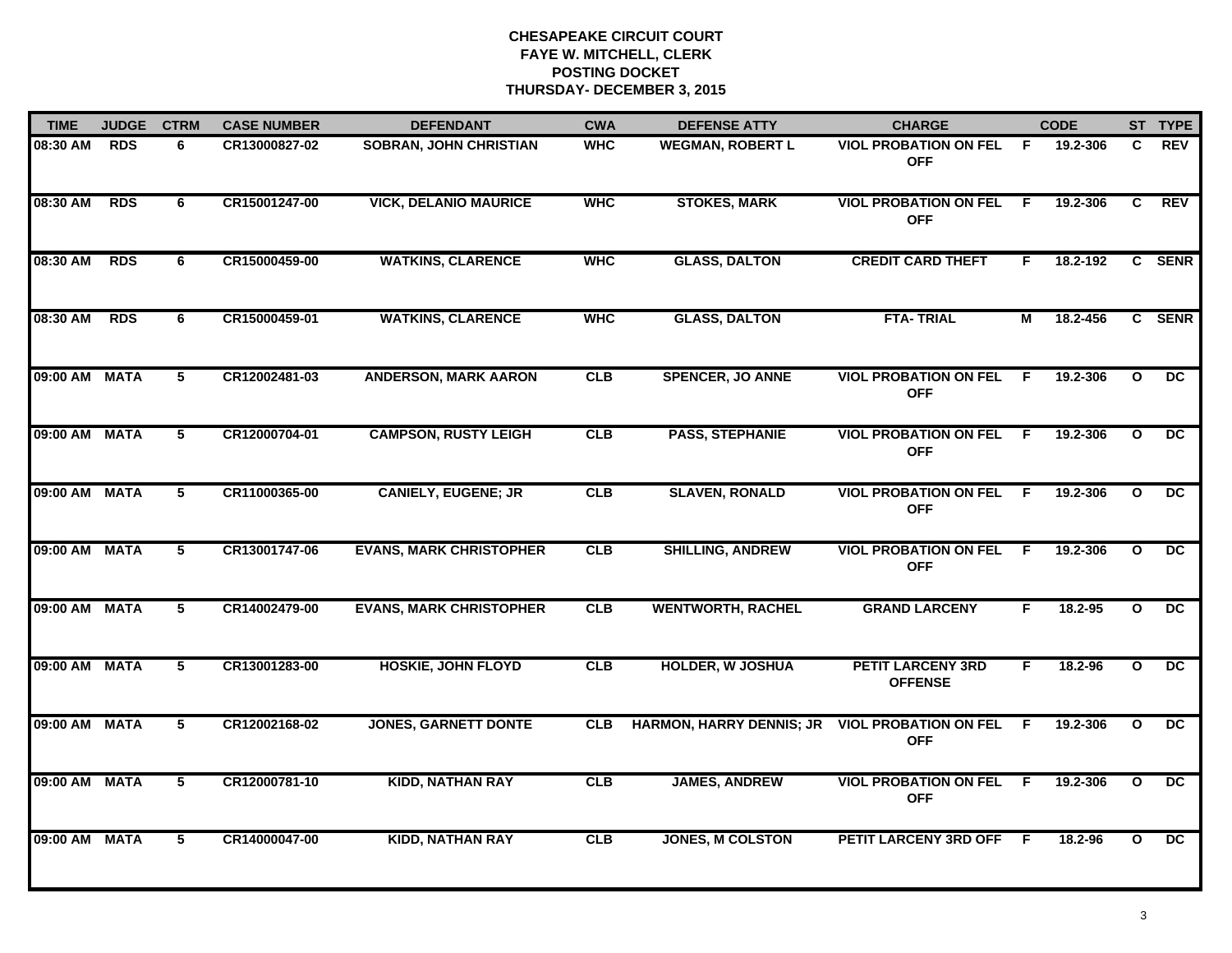| <b>TIME</b>   | <b>JUDGE</b> | <b>CTRM</b>    | <b>CASE NUMBER</b> | <b>DEFENDANT</b>               | <b>CWA</b> | <b>DEFENSE ATTY</b>             | <b>CHARGE</b>                              |     | <b>CODE</b> |              | ST TYPE         |
|---------------|--------------|----------------|--------------------|--------------------------------|------------|---------------------------------|--------------------------------------------|-----|-------------|--------------|-----------------|
| 08:30 AM      | <b>RDS</b>   | 6              | CR13000827-02      | <b>SOBRAN, JOHN CHRISTIAN</b>  | <b>WHC</b> | <b>WEGMAN, ROBERT L</b>         | <b>VIOL PROBATION ON FEL</b><br><b>OFF</b> | - F | 19.2-306    | C            | <b>REV</b>      |
| 08:30 AM      | <b>RDS</b>   | 6              | CR15001247-00      | <b>VICK, DELANIO MAURICE</b>   | <b>WHC</b> | <b>STOKES, MARK</b>             | <b>VIOL PROBATION ON FEL</b><br><b>OFF</b> | -F  | 19.2-306    | C            | REV             |
| 08:30 AM      | <b>RDS</b>   | 6              | CR15000459-00      | <b>WATKINS, CLARENCE</b>       | <b>WHC</b> | <b>GLASS, DALTON</b>            | <b>CREDIT CARD THEFT</b>                   | F.  | 18.2-192    |              | C SENR          |
| 08:30 AM      | <b>RDS</b>   | 6              | CR15000459-01      | <b>WATKINS, CLARENCE</b>       | <b>WHC</b> | <b>GLASS, DALTON</b>            | <b>FTA-TRIAL</b>                           | М   | 18.2-456    |              | C SENR          |
| 09:00 AM MATA |              | 5              | CR12002481-03      | <b>ANDERSON, MARK AARON</b>    | <b>CLB</b> | <b>SPENCER, JO ANNE</b>         | <b>VIOL PROBATION ON FEL</b><br><b>OFF</b> | F.  | 19.2-306    | $\mathbf{o}$ | <b>DC</b>       |
| 09:00 AM MATA |              | 5              | CR12000704-01      | <b>CAMPSON, RUSTY LEIGH</b>    | <b>CLB</b> | <b>PASS, STEPHANIE</b>          | <b>VIOL PROBATION ON FEL</b><br><b>OFF</b> | -F  | 19.2-306    | $\mathbf{o}$ | DC.             |
| 09:00 AM MATA |              | 5              | CR11000365-00      | <b>CANIELY, EUGENE; JR</b>     | CLB        | <b>SLAVEN, RONALD</b>           | <b>VIOL PROBATION ON FEL</b><br><b>OFF</b> | F   | 19.2-306    | $\mathbf{o}$ | DC.             |
| 09:00 AM MATA |              | $\overline{5}$ | CR13001747-06      | <b>EVANS, MARK CHRISTOPHER</b> | CLB        | <b>SHILLING, ANDREW</b>         | <b>VIOL PROBATION ON FEL</b><br><b>OFF</b> | -F  | 19.2-306    | $\mathbf{o}$ | $\overline{DC}$ |
| 09:00 AM MATA |              | 5              | CR14002479-00      | <b>EVANS, MARK CHRISTOPHER</b> | CLB        | <b>WENTWORTH, RACHEL</b>        | <b>GRAND LARCENY</b>                       | F.  | 18.2-95     | $\mathbf{o}$ | <b>DC</b>       |
| 09:00 AM MATA |              | 5              | CR13001283-00      | <b>HOSKIE, JOHN FLOYD</b>      | CLB        | <b>HOLDER, W JOSHUA</b>         | <b>PETIT LARCENY 3RD</b><br><b>OFFENSE</b> | F.  | 18.2-96     | $\mathbf{o}$ | DC              |
| 09:00 AM MATA |              | 5              | CR12002168-02      | <b>JONES, GARNETT DONTE</b>    | <b>CLB</b> | <b>HARMON, HARRY DENNIS; JR</b> | <b>VIOL PROBATION ON FEL</b><br><b>OFF</b> | -F  | 19.2-306    | $\mathbf{o}$ | DC.             |
| 09:00 AM MATA |              | $\overline{5}$ | CR12000781-10      | <b>KIDD, NATHAN RAY</b>        | CLB        | <b>JAMES, ANDREW</b>            | <b>VIOL PROBATION ON FEL</b><br><b>OFF</b> | F.  | 19.2-306    | $\mathbf{o}$ | DC              |
| 09:00 AM MATA |              | $\overline{5}$ | CR14000047-00      | <b>KIDD, NATHAN RAY</b>        | CLB        | <b>JONES, M COLSTON</b>         | <b>PETIT LARCENY 3RD OFF</b>               | - F | 18.2-96     | $\mathbf{o}$ | $\overline{DC}$ |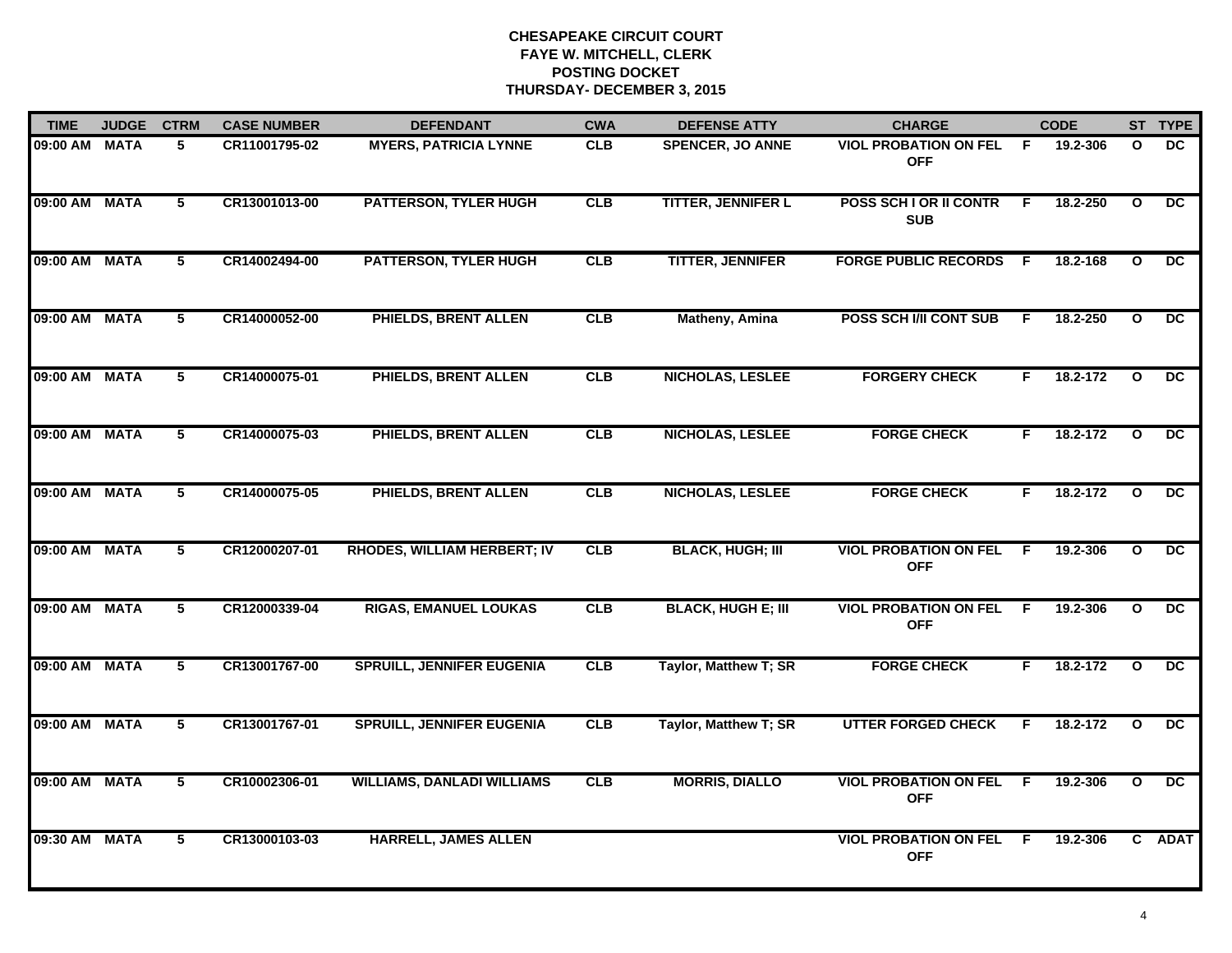| <b>TIME</b>   | <b>JUDGE</b> | <b>CTRM</b>     | <b>CASE NUMBER</b> | <b>DEFENDANT</b>                   | <b>CWA</b> | <b>DEFENSE ATTY</b>       | <b>CHARGE</b>                              |     | <b>CODE</b> |              | ST TYPE         |
|---------------|--------------|-----------------|--------------------|------------------------------------|------------|---------------------------|--------------------------------------------|-----|-------------|--------------|-----------------|
| 09:00 AM MATA |              | 5               | CR11001795-02      | <b>MYERS, PATRICIA LYNNE</b>       | <b>CLB</b> | <b>SPENCER, JO ANNE</b>   | <b>VIOL PROBATION ON FEL</b><br><b>OFF</b> | F.  | 19.2-306    | $\mathbf{o}$ | DC.             |
| 09:00 AM MATA |              | $5\phantom{.0}$ | CR13001013-00      | <b>PATTERSON, TYLER HUGH</b>       | CLB        | <b>TITTER, JENNIFER L</b> | POSS SCH I OR II CONTR<br><b>SUB</b>       | F.  | 18.2-250    | $\mathbf{o}$ | $\overline{DC}$ |
| 09:00 AM MATA |              | $\overline{5}$  | CR14002494-00      | <b>PATTERSON, TYLER HUGH</b>       | CLB        | <b>TITTER, JENNIFER</b>   | <b>FORGE PUBLIC RECORDS</b>                | - F | 18.2-168    | $\mathbf{o}$ | $\overline{DC}$ |
| 09:00 AM MATA |              | 5               | CR14000052-00      | PHIELDS, BRENT ALLEN               | <b>CLB</b> | <b>Matheny, Amina</b>     | POSS SCH I/II CONT SUB                     | F   | 18.2-250    | $\mathbf{o}$ | DC.             |
| 09:00 AM MATA |              | 5               | CR14000075-01      | PHIELDS, BRENT ALLEN               | CLB        | <b>NICHOLAS, LESLEE</b>   | <b>FORGERY CHECK</b>                       | F.  | 18.2-172    | $\mathbf{o}$ | DC.             |
| 09:00 AM MATA |              | 5               | CR14000075-03      | PHIELDS, BRENT ALLEN               | CLB        | <b>NICHOLAS, LESLEE</b>   | <b>FORGE CHECK</b>                         | F.  | 18.2-172    | $\mathbf{o}$ | $\overline{DC}$ |
| 09:00 AM MATA |              | 5               | CR14000075-05      | <b>PHIELDS, BRENT ALLEN</b>        | <b>CLB</b> | NICHOLAS, LESLEE          | <b>FORGE CHECK</b>                         | F.  | 18.2-172    | $\mathbf{o}$ | DC.             |
| 09:00 AM MATA |              | 5               | CR12000207-01      | <b>RHODES, WILLIAM HERBERT; IV</b> | <b>CLB</b> | <b>BLACK, HUGH; III</b>   | <b>VIOL PROBATION ON FEL</b><br><b>OFF</b> | F.  | 19.2-306    | $\mathbf{o}$ | DC              |
| 09:00 AM MATA |              | 5               | CR12000339-04      | <b>RIGAS, EMANUEL LOUKAS</b>       | CLB        | <b>BLACK, HUGH E; III</b> | <b>VIOL PROBATION ON FEL</b><br><b>OFF</b> | F.  | 19.2-306    | $\mathbf{o}$ | DC              |
| 09:00 AM MATA |              | 5               | CR13001767-00      | <b>SPRUILL, JENNIFER EUGENIA</b>   | CLB        | Taylor, Matthew T; SR     | <b>FORGE CHECK</b>                         | F.  | 18.2-172    | $\mathbf{o}$ | DC              |
| 09:00 AM MATA |              | $5\phantom{.0}$ | CR13001767-01      | <b>SPRUILL, JENNIFER EUGENIA</b>   | CLB        | Taylor, Matthew T; SR     | <b>UTTER FORGED CHECK</b>                  | F   | 18.2-172    | $\circ$      | DC.             |
| 09:00 AM MATA |              | 5               | CR10002306-01      | <b>WILLIAMS, DANLADI WILLIAMS</b>  | CLB        | <b>MORRIS, DIALLO</b>     | <b>VIOL PROBATION ON FEL</b><br><b>OFF</b> | -F  | 19.2-306    | $\mathbf{o}$ | $\overline{DC}$ |
| 09:30 AM MATA |              | 5               | CR13000103-03      | <b>HARRELL, JAMES ALLEN</b>        |            |                           | <b>VIOL PROBATION ON FEL</b><br><b>OFF</b> | -F  | 19.2-306    |              | C ADAT          |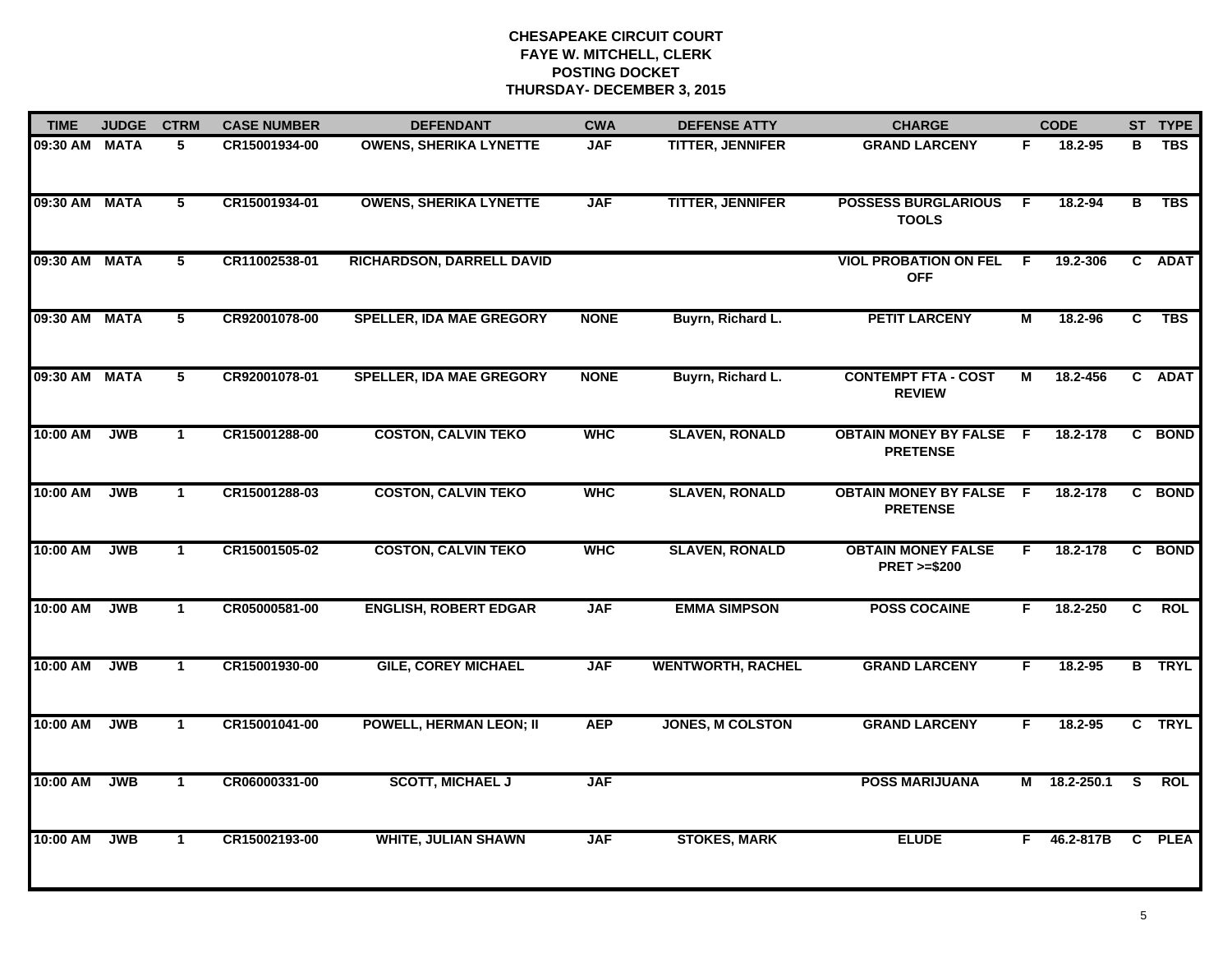| <b>TIME</b>   | <b>JUDGE</b> | <b>CTRM</b>     | <b>CASE NUMBER</b> | <b>DEFENDANT</b>                 | <b>CWA</b>  | <b>DEFENSE ATTY</b>      | <b>CHARGE</b>                                       |     | <b>CODE</b>  |              | ST TYPE       |
|---------------|--------------|-----------------|--------------------|----------------------------------|-------------|--------------------------|-----------------------------------------------------|-----|--------------|--------------|---------------|
| 09:30 AM MATA |              | 5.              | CR15001934-00      | <b>OWENS, SHERIKA LYNETTE</b>    | <b>JAF</b>  | <b>TITTER, JENNIFER</b>  | <b>GRAND LARCENY</b>                                | F.  | 18.2-95      | в            | <b>TBS</b>    |
| 09:30 AM MATA |              | $5\phantom{.0}$ | CR15001934-01      | <b>OWENS, SHERIKA LYNETTE</b>    | <b>JAF</b>  | <b>TITTER, JENNIFER</b>  | <b>POSSESS BURGLARIOUS</b><br><b>TOOLS</b>          | - F | 18.2-94      | В            | <b>TBS</b>    |
| 09:30 AM MATA |              | 5               | CR11002538-01      | <b>RICHARDSON, DARRELL DAVID</b> |             |                          | <b>VIOL PROBATION ON FEL</b><br><b>OFF</b>          | - F | 19.2-306     |              | C ADAT        |
| 09:30 AM MATA |              | 5               | CR92001078-00      | <b>SPELLER, IDA MAE GREGORY</b>  | <b>NONE</b> | Buyrn, Richard L.        | <b>PETIT LARCENY</b>                                | М   | 18.2-96      | C.           | <b>TBS</b>    |
| 09:30 AM MATA |              | 5               | CR92001078-01      | <b>SPELLER, IDA MAE GREGORY</b>  | <b>NONE</b> | Buyrn, Richard L.        | <b>CONTEMPT FTA - COST</b><br><b>REVIEW</b>         | М   | 18.2-456     |              | C ADAT        |
| 10:00 AM      | <b>JWB</b>   | $\mathbf 1$     | CR15001288-00      | <b>COSTON, CALVIN TEKO</b>       | <b>WHC</b>  | <b>SLAVEN, RONALD</b>    | <b>OBTAIN MONEY BY FALSE F</b><br><b>PRETENSE</b>   |     | 18.2-178     | $\mathbf{c}$ | <b>BOND</b>   |
| 10:00 AM      | <b>JWB</b>   | $\mathbf{1}$    | CR15001288-03      | <b>COSTON, CALVIN TEKO</b>       | <b>WHC</b>  | <b>SLAVEN, RONALD</b>    | <b>OBTAIN MONEY BY FALSE F</b><br><b>PRETENSE</b>   |     | 18.2-178     | C            | <b>BOND</b>   |
| 10:00 AM      | <b>JWB</b>   | $\mathbf{1}$    | CR15001505-02      | <b>COSTON, CALVIN TEKO</b>       | <b>WHC</b>  | <b>SLAVEN, RONALD</b>    | <b>OBTAIN MONEY FALSE</b><br><b>PRET &gt;=\$200</b> | F.  | 18.2-178     |              | C BOND        |
| 10:00 AM      | <b>JWB</b>   | $\mathbf{1}$    | CR05000581-00      | <b>ENGLISH, ROBERT EDGAR</b>     | <b>JAF</b>  | <b>EMMA SIMPSON</b>      | <b>POSS COCAINE</b>                                 | F.  | 18.2-250     | C.           | <b>ROL</b>    |
| 10:00 AM      | <b>JWB</b>   | $\mathbf{1}$    | CR15001930-00      | <b>GILE, COREY MICHAEL</b>       | <b>JAF</b>  | <b>WENTWORTH, RACHEL</b> | <b>GRAND LARCENY</b>                                | F.  | $18.2 - 95$  |              | <b>B</b> TRYL |
| 10:00 AM      | <b>JWB</b>   | $\mathbf{1}$    | CR15001041-00      | <b>POWELL, HERMAN LEON; II</b>   | <b>AEP</b>  | <b>JONES, M COLSTON</b>  | <b>GRAND LARCENY</b>                                | F.  | 18.2-95      |              | C TRYL        |
| 10:00 AM      | <b>JWB</b>   | $\mathbf{1}$    | CR06000331-00      | <b>SCOTT, MICHAEL J</b>          | <b>JAF</b>  |                          | <b>POSS MARIJUANA</b>                               |     | M 18.2-250.1 | <b>S</b>     | <b>ROL</b>    |
| 10:00 AM      | <b>JWB</b>   | $\mathbf{1}$    | CR15002193-00      | <b>WHITE, JULIAN SHAWN</b>       | <b>JAF</b>  | <b>STOKES, MARK</b>      | <b>ELUDE</b>                                        | F.  | 46.2-817B    |              | C PLEA        |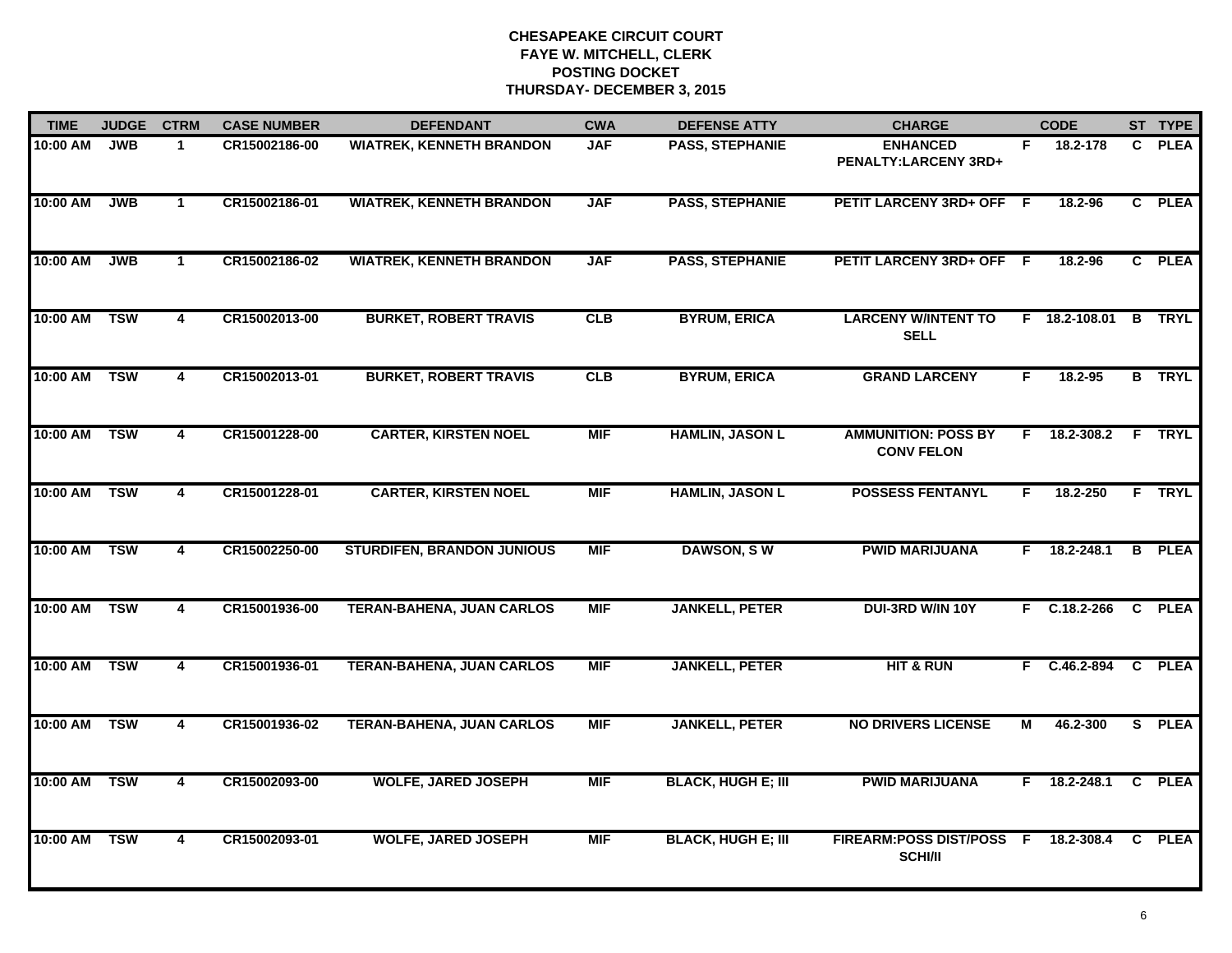| <b>TIME</b>  | <b>JUDGE</b> | <b>CTRM</b>    | <b>CASE NUMBER</b> | <b>DEFENDANT</b>                  | <b>CWA</b> | <b>DEFENSE ATTY</b>       | <b>CHARGE</b>                                   |    | <b>CODE</b>    |              | ST TYPE       |
|--------------|--------------|----------------|--------------------|-----------------------------------|------------|---------------------------|-------------------------------------------------|----|----------------|--------------|---------------|
| 10:00 AM     | <b>JWB</b>   | $\mathbf 1$    | CR15002186-00      | <b>WIATREK, KENNETH BRANDON</b>   | <b>JAF</b> | <b>PASS, STEPHANIE</b>    | <b>ENHANCED</b><br>PENALTY:LARCENY 3RD+         | F. | 18.2-178       | $\mathbf{C}$ | <b>PLEA</b>   |
| 10:00 AM     | <b>JWB</b>   | $\mathbf{1}$   | CR15002186-01      | <b>WIATREK, KENNETH BRANDON</b>   | <b>JAF</b> | <b>PASS, STEPHANIE</b>    | PETIT LARCENY 3RD+ OFF F                        |    | 18.2-96        |              | C PLEA        |
| 10:00 AM     | <b>JWB</b>   | $\mathbf{1}$   | CR15002186-02      | <b>WIATREK, KENNETH BRANDON</b>   | <b>JAF</b> | <b>PASS, STEPHANIE</b>    | PETIT LARCENY 3RD+ OFF F                        |    | 18.2-96        |              | C PLEA        |
| 10:00 AM     | <b>TSW</b>   | 4              | CR15002013-00      | <b>BURKET, ROBERT TRAVIS</b>      | CLB        | <b>BYRUM, ERICA</b>       | <b>LARCENY W/INTENT TO</b><br><b>SELL</b>       |    | F 18.2-108.01  |              | <b>B</b> TRYL |
| 10:00 AM     | <b>TSW</b>   | 4              | CR15002013-01      | <b>BURKET, ROBERT TRAVIS</b>      | CLB        | <b>BYRUM, ERICA</b>       | <b>GRAND LARCENY</b>                            | F. | 18.2-95        |              | <b>B</b> TRYL |
| 10:00 AM TSW |              | 4              | CR15001228-00      | <b>CARTER, KIRSTEN NOEL</b>       | <b>MIF</b> | <b>HAMLIN, JASON L</b>    | <b>AMMUNITION: POSS BY</b><br><b>CONV FELON</b> |    | $F$ 18.2-308.2 |              | <b>F</b> TRYL |
| 10:00 AM     | <b>TSW</b>   | 4              | CR15001228-01      | <b>CARTER, KIRSTEN NOEL</b>       | <b>MIF</b> | <b>HAMLIN, JASON L</b>    | <b>POSSESS FENTANYL</b>                         | F. | 18.2-250       |              | F TRYL        |
| 10:00 AM     | <b>TSW</b>   | $\overline{4}$ | CR15002250-00      | <b>STURDIFEN, BRANDON JUNIOUS</b> | <b>MIF</b> | <b>DAWSON, SW</b>         | <b>PWID MARIJUANA</b>                           |    | $F$ 18.2-248.1 |              | <b>B</b> PLEA |
| 10:00 AM     | <b>TSW</b>   | 4              | CR15001936-00      | <b>TERAN-BAHENA, JUAN CARLOS</b>  | <b>MIF</b> | <b>JANKELL, PETER</b>     | DUI-3RD W/IN 10Y                                | F. | C.18.2-266     |              | C PLEA        |
| 10:00 AM     | <b>TSW</b>   | $\overline{4}$ | CR15001936-01      | <b>TERAN-BAHENA, JUAN CARLOS</b>  | <b>MIF</b> | <b>JANKELL, PETER</b>     | <b>HIT &amp; RUN</b>                            |    | F C.46.2-894   |              | C PLEA        |
| 10:00 AM TSW |              | 4              | CR15001936-02      | <b>TERAN-BAHENA, JUAN CARLOS</b>  | <b>MIF</b> | <b>JANKELL, PETER</b>     | <b>NO DRIVERS LICENSE</b>                       | М  | 46.2-300       |              | S PLEA        |
| 10:00 AM TSW |              | 4              | CR15002093-00      | <b>WOLFE, JARED JOSEPH</b>        | <b>MIF</b> | <b>BLACK, HUGH E; III</b> | <b>PWID MARIJUANA</b>                           |    | $F$ 18.2-248.1 |              | C PLEA        |
| 10:00 AM     | <b>TSW</b>   | $\overline{4}$ | CR15002093-01      | <b>WOLFE, JARED JOSEPH</b>        | <b>MIF</b> | <b>BLACK, HUGH E; III</b> | FIREARM:POSS DIST/POSS F<br><b>SCHI/II</b>      |    | 18.2-308.4     |              | C PLEA        |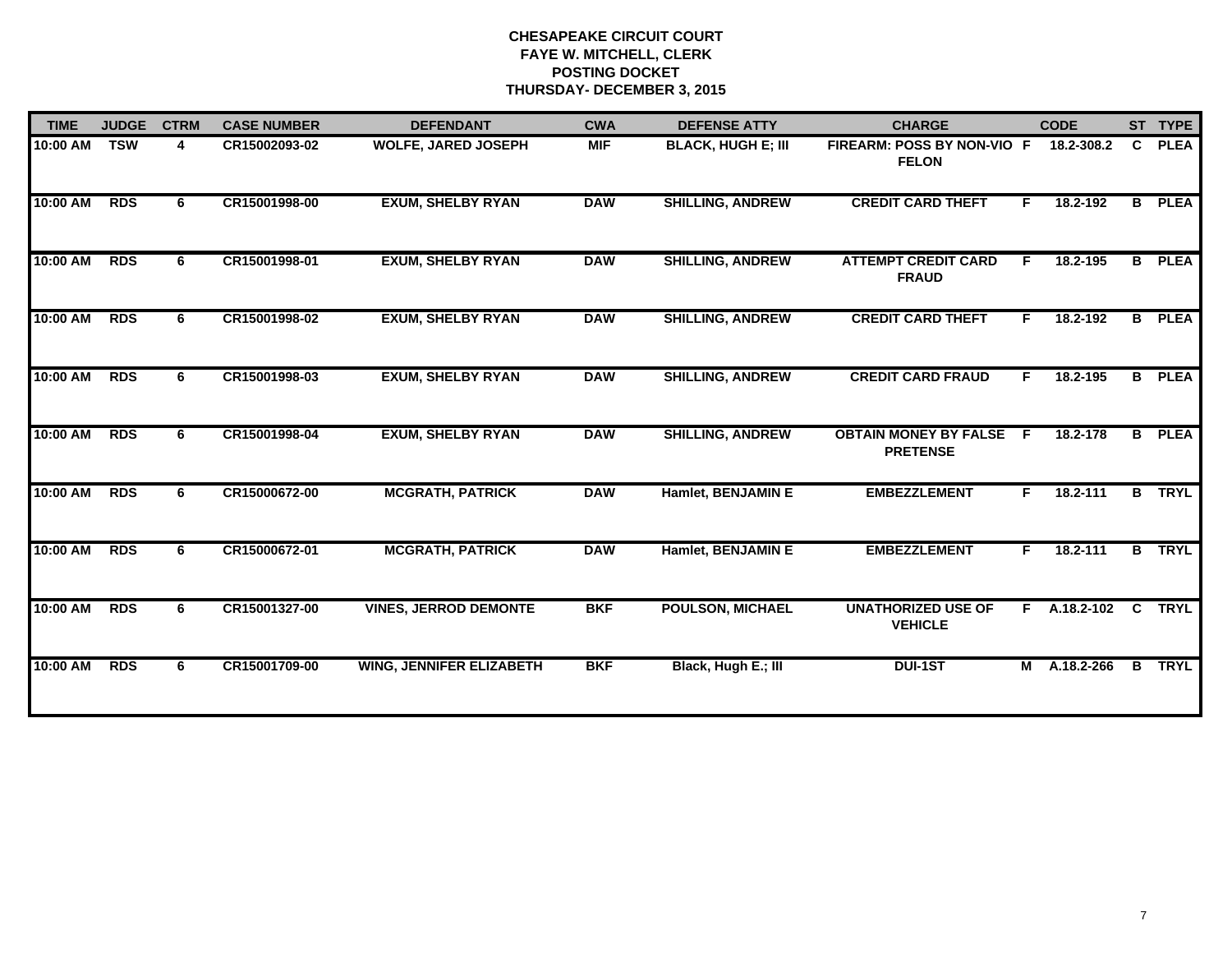| <b>TIME</b> | <b>JUDGE</b> | <b>CTRM</b> | <b>CASE NUMBER</b> | <b>DEFENDANT</b>                | <b>CWA</b> | <b>DEFENSE ATTY</b>       | <b>CHARGE</b>                                   |    | <b>CODE</b>    |              | ST TYPE       |
|-------------|--------------|-------------|--------------------|---------------------------------|------------|---------------------------|-------------------------------------------------|----|----------------|--------------|---------------|
| 10:00 AM    | <b>TSW</b>   | 4           | CR15002093-02      | <b>WOLFE, JARED JOSEPH</b>      | <b>MIF</b> | <b>BLACK, HUGH E; III</b> | FIREARM: POSS BY NON-VIO F<br><b>FELON</b>      |    | 18.2-308.2     | C            | <b>PLEA</b>   |
| 10:00 AM    | <b>RDS</b>   | 6           | CR15001998-00      | <b>EXUM, SHELBY RYAN</b>        | <b>DAW</b> | <b>SHILLING, ANDREW</b>   | <b>CREDIT CARD THEFT</b>                        | F. | 18.2-192       |              | <b>B</b> PLEA |
| 10:00 AM    | <b>RDS</b>   | 6           | CR15001998-01      | <b>EXUM, SHELBY RYAN</b>        | <b>DAW</b> | <b>SHILLING, ANDREW</b>   | <b>ATTEMPT CREDIT CARD</b><br><b>FRAUD</b>      | F. | 18.2-195       | В            | <b>PLEA</b>   |
| 10:00 AM    | <b>RDS</b>   | 6.          | CR15001998-02      | <b>EXUM, SHELBY RYAN</b>        | <b>DAW</b> | <b>SHILLING, ANDREW</b>   | <b>CREDIT CARD THEFT</b>                        | F. | 18.2-192       |              | <b>B</b> PLEA |
| 10:00 AM    | <b>RDS</b>   | 6           | CR15001998-03      | <b>EXUM, SHELBY RYAN</b>        | <b>DAW</b> | <b>SHILLING, ANDREW</b>   | <b>CREDIT CARD FRAUD</b>                        | F. | 18.2-195       |              | <b>B</b> PLEA |
| 10:00 AM    | <b>RDS</b>   | 6           | CR15001998-04      | <b>EXUM, SHELBY RYAN</b>        | <b>DAW</b> | <b>SHILLING, ANDREW</b>   | <b>OBTAIN MONEY BY FALSE</b><br><b>PRETENSE</b> | -F | 18.2-178       | B            | <b>PLEA</b>   |
| 10:00 AM    | <b>RDS</b>   | 6           | CR15000672-00      | <b>MCGRATH, PATRICK</b>         | <b>DAW</b> | Hamlet, BENJAMIN E        | <b>EMBEZZLEMENT</b>                             | F. | 18.2-111       |              | <b>B</b> TRYL |
| 10:00 AM    | <b>RDS</b>   | 6.          | CR15000672-01      | <b>MCGRATH, PATRICK</b>         | <b>DAW</b> | Hamlet, BENJAMIN E        | <b>EMBEZZLEMENT</b>                             | F. | 18.2-111       |              | <b>B</b> TRYL |
| 10:00 AM    | <b>RDS</b>   | 6           | CR15001327-00      | <b>VINES, JERROD DEMONTE</b>    | <b>BKF</b> | <b>POULSON, MICHAEL</b>   | <b>UNATHORIZED USE OF</b><br><b>VEHICLE</b>     |    | $F$ A.18.2-102 | $\mathbf{C}$ | <b>TRYL</b>   |
| 10:00 AM    | <b>RDS</b>   | 6           | CR15001709-00      | <b>WING, JENNIFER ELIZABETH</b> | <b>BKF</b> | Black, Hugh E.; III       | <b>DUI-1ST</b>                                  | M  | A.18.2-266     | $\mathbf{B}$ | <b>TRYL</b>   |